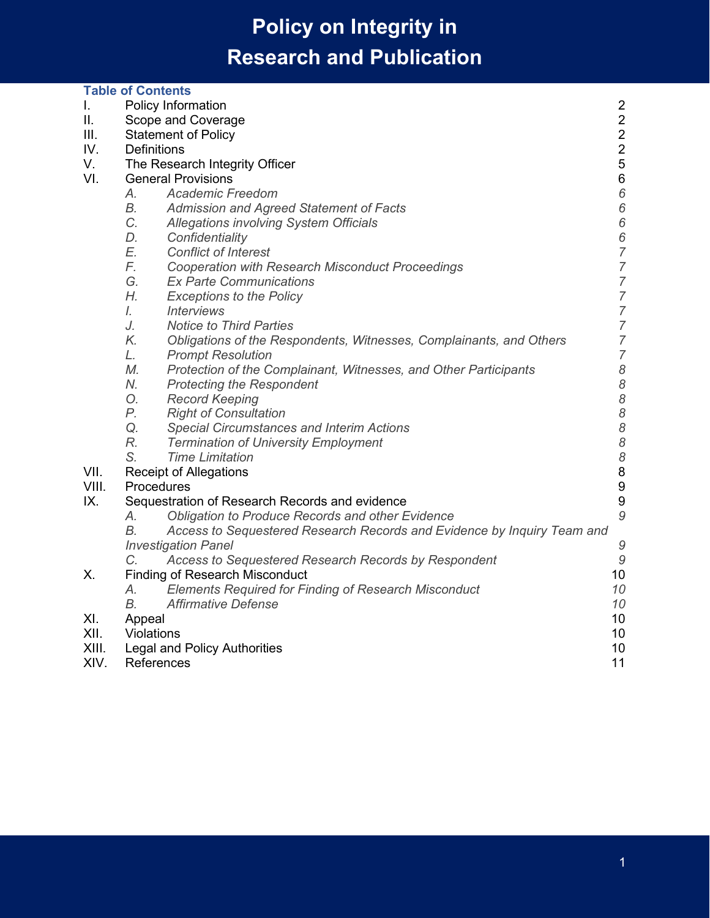|       | <b>Table of Contents</b>                                                                              |                 |
|-------|-------------------------------------------------------------------------------------------------------|-----------------|
| L.    | <b>Policy Information</b>                                                                             | $\overline{2}$  |
| ΙΙ.   | Scope and Coverage                                                                                    | $\overline{2}$  |
| III.  | <b>Statement of Policy</b>                                                                            | $\overline{c}$  |
| IV.   | Definitions                                                                                           | $\overline{2}$  |
| V.    | The Research Integrity Officer                                                                        | 5               |
| VI.   | <b>General Provisions</b>                                                                             | $6\phantom{1}6$ |
|       | А.<br><b>Academic Freedom</b>                                                                         | $6\phantom{1}6$ |
|       | В.<br>Admission and Agreed Statement of Facts                                                         | 6               |
|       | C.<br><b>Allegations involving System Officials</b>                                                   | 6               |
|       | D.<br>Confidentiality                                                                                 | $\frac{6}{7}$   |
|       | E.<br><b>Conflict of Interest</b>                                                                     |                 |
|       | F.<br><b>Cooperation with Research Misconduct Proceedings</b>                                         | $\overline{7}$  |
|       | G.<br><b>Ex Parte Communications</b>                                                                  | $\overline{7}$  |
|       | Н.<br><b>Exceptions to the Policy</b>                                                                 | $\overline{7}$  |
|       | $\mathcal{L}$<br><b>Interviews</b>                                                                    | $\overline{7}$  |
|       | J.<br><b>Notice to Third Parties</b>                                                                  | $\overline{7}$  |
|       | K.<br>Obligations of the Respondents, Witnesses, Complainants, and Others                             | $\overline{7}$  |
|       | L.<br><b>Prompt Resolution</b>                                                                        | $\overline{7}$  |
|       | М.<br>Protection of the Complainant, Witnesses, and Other Participants                                | 8               |
|       | N.<br><b>Protecting the Respondent</b>                                                                | 8               |
|       | О.<br><b>Record Keeping</b>                                                                           | 8               |
|       | Р.<br><b>Right of Consultation</b>                                                                    | 8               |
|       | Q.<br><b>Special Circumstances and Interim Actions</b>                                                |                 |
|       | R.<br><b>Termination of University Employment</b>                                                     |                 |
|       | S.<br><b>Time Limitation</b>                                                                          | 88888           |
| VII.  | <b>Receipt of Allegations</b>                                                                         |                 |
| VIII. | Procedures                                                                                            |                 |
| IX.   | Sequestration of Research Records and evidence                                                        | 9               |
|       | Obligation to Produce Records and other Evidence<br>А.                                                | 9               |
|       | B.<br>Access to Sequestered Research Records and Evidence by Inquiry Team and                         |                 |
|       | <b>Investigation Panel</b>                                                                            | 9               |
| Х.    | C.<br>Access to Sequestered Research Records by Respondent<br><b>Finding of Research Misconduct</b>   | 9<br>10         |
|       |                                                                                                       | 10              |
|       | <b>Elements Required for Finding of Research Misconduct</b><br>А.<br><b>Affirmative Defense</b><br>В. | 10              |
| XI.   |                                                                                                       | 10              |
| XII.  | Appeal<br>Violations                                                                                  | 10              |
| XIII. | <b>Legal and Policy Authorities</b>                                                                   | 10              |
| XIV.  | References                                                                                            | 11              |
|       |                                                                                                       |                 |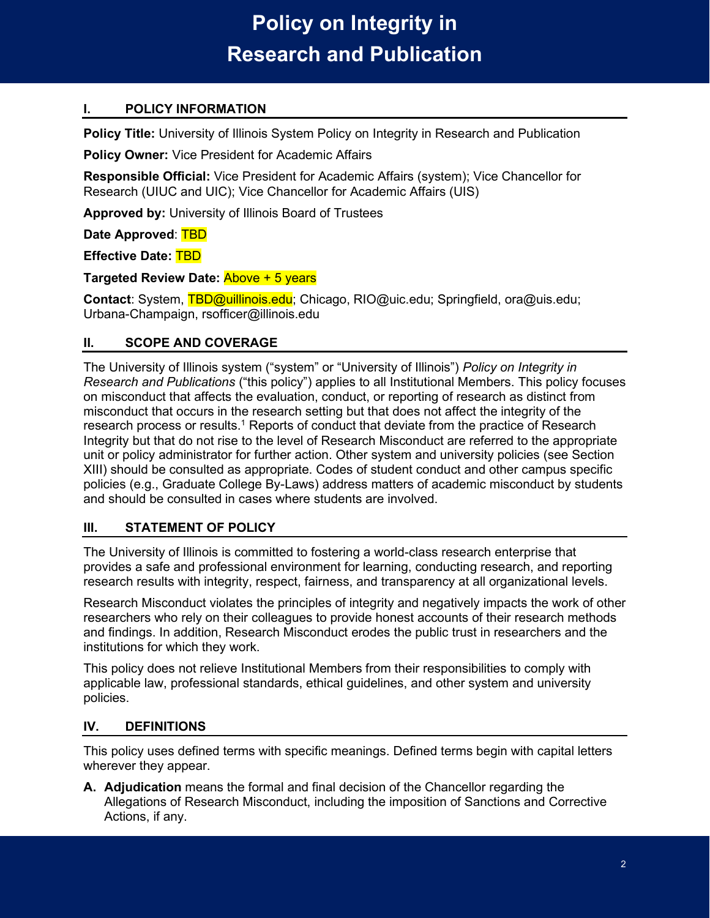## <span id="page-1-0"></span>**I. POLICY INFORMATION**

**Policy Title:** University of Illinois System Policy on Integrity in Research and Publication

**Policy Owner:** Vice President for Academic Affairs

**Responsible Official:** Vice President for Academic Affairs (system); Vice Chancellor for Research (UIUC and UIC); Vice Chancellor for Academic Affairs (UIS)

**Approved by:** University of Illinois Board of Trustees

**Date Approved**: TBD

**Effective Date:** TBD

**Targeted Review Date:** Above + 5 years

**Contact**: System, TBD@uillinois.edu; Chicago, RIO@uic.edu; Springfield, ora@uis.edu; Urbana-Champaign, rsofficer@illinois.edu

### <span id="page-1-1"></span>**II. SCOPE AND COVERAGE**

The University of Illinois system ("system" or "University of Illinois") *Policy on Integrity in Research and Publications* ("this policy") applies to all Institutional Members. This policy focuses on misconduct that affects the evaluation, conduct, or reporting of research as distinct from misconduct that occurs in the research setting but that does not affect the integrity of the research process or results.<sup>1</sup> Reports of conduct that deviate from the practice of Research Integrity but that do not rise to the level of Research Misconduct are referred to the appropriate unit or policy administrator for further action. Other system and university policies (see Section [XIII\)](#page-9-5) should be consulted as appropriate. Codes of student conduct and other campus specific policies (e.g., Graduate College By-Laws) address matters of academic misconduct by students and should be consulted in cases where students are involved.

### <span id="page-1-2"></span>**III. STATEMENT OF POLICY**

The University of Illinois is committed to fostering a world-class research enterprise that provides a safe and professional environment for learning, conducting research, and reporting research results with integrity, respect, fairness, and transparency at all organizational levels.

Research Misconduct violates the principles of integrity and negatively impacts the work of other researchers who rely on their colleagues to provide honest accounts of their research methods and findings. In addition, Research Misconduct erodes the public trust in researchers and the institutions for which they work.

This policy does not relieve Institutional Members from their responsibilities to comply with applicable law, professional standards, ethical guidelines, and other system and university policies.

### <span id="page-1-3"></span>**IV. DEFINITIONS**

This policy uses defined terms with specific meanings. Defined terms begin with capital letters wherever they appear.

**A. Adjudication** means the formal and final decision of the Chancellor regarding the Allegations of Research Misconduct, including the imposition of Sanctions and Corrective Actions, if any.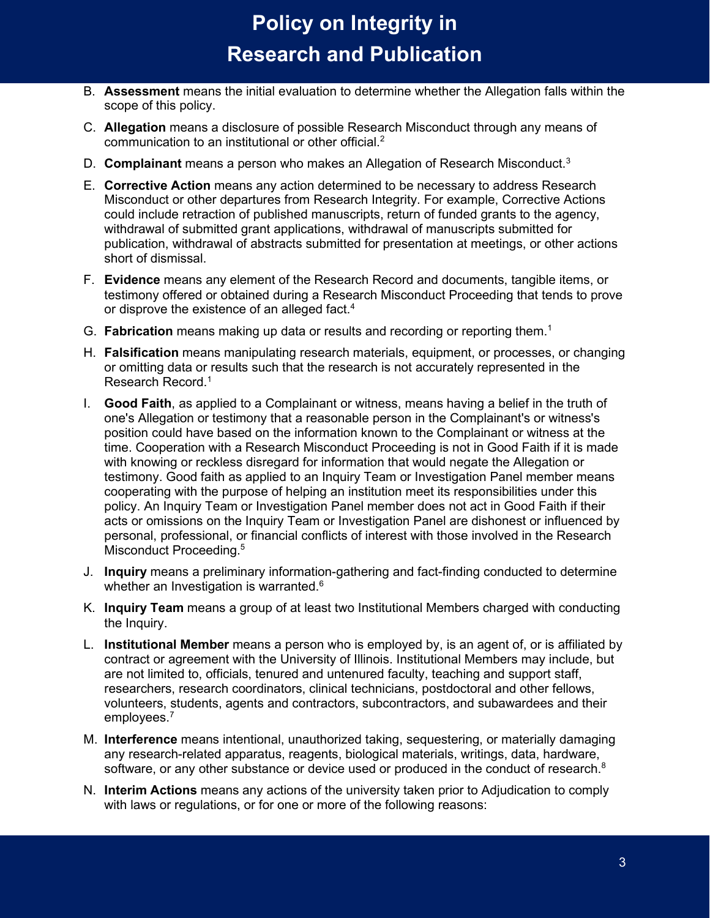- B. **Assessment** means the initial evaluation to determine whether the Allegation falls within the scope of this policy.
- C. **Allegation** means a disclosure of possible Research Misconduct through any means of communication to an institutional or other official.<sup>2</sup>
- D. **Complainant** means a person who makes an Allegation of Research Misconduct.3
- E. **Corrective Action** means any action determined to be necessary to address Research Misconduct or other departures from Research Integrity. For example, Corrective Actions could include retraction of published manuscripts, return of funded grants to the agency, withdrawal of submitted grant applications, withdrawal of manuscripts submitted for publication, withdrawal of abstracts submitted for presentation at meetings, or other actions short of dismissal.
- F. **Evidence** means any element of the Research Record and documents, tangible items, or testimony offered or obtained during a Research Misconduct Proceeding that tends to prove or disprove the existence of an alleged fact.<sup>4</sup>
- G. **Fabrication** means making up data or results and recording or reporting them. 1
- H. **Falsification** means manipulating research materials, equipment, or processes, or changing or omitting data or results such that the research is not accurately represented in the Research Record.1
- I. **Good Faith**, as applied to a Complainant or witness, means having a belief in the truth of one's Allegation or testimony that a reasonable person in the Complainant's or witness's position could have based on the information known to the Complainant or witness at the time. Cooperation with a Research Misconduct Proceeding is not in Good Faith if it is made with knowing or reckless disregard for information that would negate the Allegation or testimony. Good faith as applied to an Inquiry Team or Investigation Panel member means cooperating with the purpose of helping an institution meet its responsibilities under this policy. An Inquiry Team or Investigation Panel member does not act in Good Faith if their acts or omissions on the Inquiry Team or Investigation Panel are dishonest or influenced by personal, professional, or financial conflicts of interest with those involved in the Research Misconduct Proceeding.<sup>5</sup>
- J. **Inquiry** means a preliminary information-gathering and fact-finding conducted to determine whether an Investigation is warranted.<sup>6</sup>
- K. **Inquiry Team** means a group of at least two Institutional Members charged with conducting the Inquiry.
- L. **Institutional Member** means a person who is employed by, is an agent of, or is affiliated by contract or agreement with the University of Illinois. Institutional Members may include, but are not limited to, officials, tenured and untenured faculty, teaching and support staff, researchers, research coordinators, clinical technicians, postdoctoral and other fellows, volunteers, students, agents and contractors, subcontractors, and subawardees and their employees.<sup>7</sup>
- M. **Interference** means intentional, unauthorized taking, sequestering, or materially damaging any research-related apparatus, reagents, biological materials, writings, data, hardware, software, or any other substance or device used or produced in the conduct of research. $^8$
- N. **Interim Actions** means any actions of the university taken prior to Adjudication to comply with laws or regulations, or for one or more of the following reasons: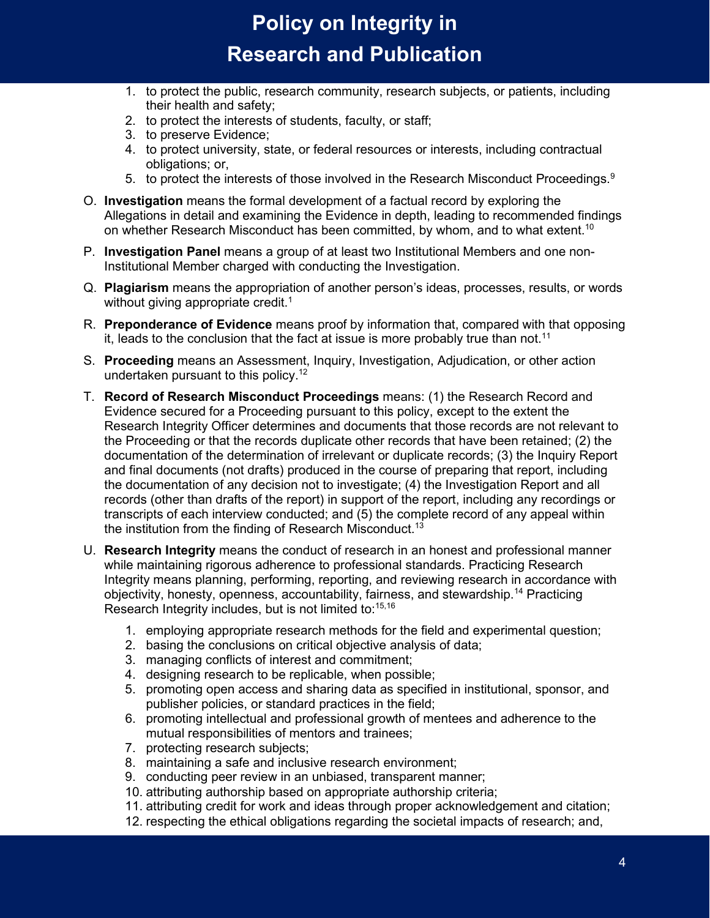- 1. to protect the public, research community, research subjects, or patients, including their health and safety;
- 2. to protect the interests of students, faculty, or staff;
- 3. to preserve Evidence;
- 4. to protect university, state, or federal resources or interests, including contractual obligations; or,
- 5. to protect the interests of those involved in the Research Misconduct Proceedings.<sup>9</sup>
- O. **Investigation** means the formal development of a factual record by exploring the Allegations in detail and examining the Evidence in depth, leading to recommended findings on whether Research Misconduct has been committed, by whom, and to what extent.<sup>10</sup>
- P. **Investigation Panel** means a group of at least two Institutional Members and one non-Institutional Member charged with conducting the Investigation.
- Q. **Plagiarism** means the appropriation of another person's ideas, processes, results, or words without giving appropriate credit. 1
- R. **Preponderance of Evidence** means proof by information that, compared with that opposing it, leads to the conclusion that the fact at issue is more probably true than not.<sup>11</sup>
- S. **Proceeding** means an Assessment, Inquiry, Investigation, Adjudication, or other action undertaken pursuant to this policy. 12
- T. **Record of Research Misconduct Proceedings** means: (1) the Research Record and Evidence secured for a Proceeding pursuant to this policy, except to the extent the Research Integrity Officer determines and documents that those records are not relevant to the Proceeding or that the records duplicate other records that have been retained; (2) the documentation of the determination of irrelevant or duplicate records; (3) the Inquiry Report and final documents (not drafts) produced in the course of preparing that report, including the documentation of any decision not to investigate; (4) the Investigation Report and all records (other than drafts of the report) in support of the report, including any recordings or transcripts of each interview conducted; and (5) the complete record of any appeal within the institution from the finding of Research Misconduct.<sup>13</sup>
- U. **Research Integrity** means the conduct of research in an honest and professional manner while maintaining rigorous adherence to professional standards. Practicing Research Integrity means planning, performing, reporting, and reviewing research in accordance with objectivity, honesty, openness, accountability, fairness, and stewardship.<sup>14</sup> Practicing Research Integrity includes, but is not limited to:<sup>15,16</sup>
	- 1. employing appropriate research methods for the field and experimental question;
	- 2. basing the conclusions on critical objective analysis of data;
	- 3. managing conflicts of interest and commitment;
	- 4. designing research to be replicable, when possible;
	- 5. promoting open access and sharing data as specified in institutional, sponsor, and publisher policies, or standard practices in the field;
	- 6. promoting intellectual and professional growth of mentees and adherence to the mutual responsibilities of mentors and trainees;
	- 7. protecting research subjects;
	- 8. maintaining a safe and inclusive research environment;
	- 9. conducting peer review in an unbiased, transparent manner;
	- 10. attributing authorship based on appropriate authorship criteria;
	- 11. attributing credit for work and ideas through proper acknowledgement and citation;
	- 12. respecting the ethical obligations regarding the societal impacts of research; and,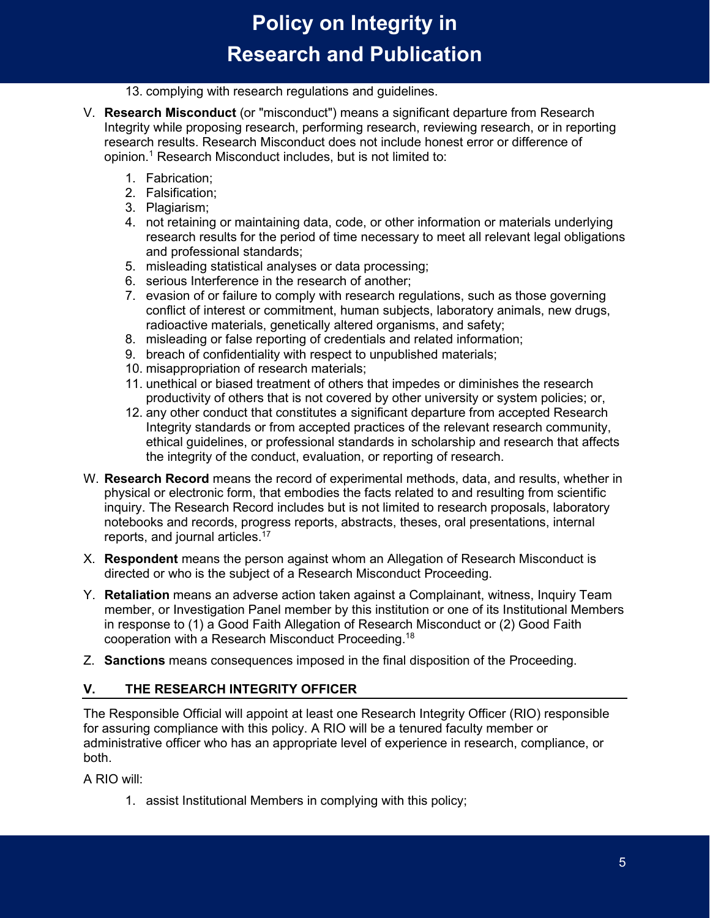#### 13. complying with research regulations and guidelines.

- V. **Research Misconduct** (or "misconduct") means a significant departure from Research Integrity while proposing research, performing research, reviewing research, or in reporting research results. Research Misconduct does not include honest error or difference of opinion.1 Research Misconduct includes, but is not limited to:
	- 1. Fabrication;
	- 2. Falsification;
	- 3. Plagiarism;
	- 4. not retaining or maintaining data, code, or other information or materials underlying research results for the period of time necessary to meet all relevant legal obligations and professional standards;
	- 5. misleading statistical analyses or data processing;
	- 6. serious Interference in the research of another;
	- 7. evasion of or failure to comply with research regulations, such as those governing conflict of interest or commitment, human subjects, laboratory animals, new drugs, radioactive materials, genetically altered organisms, and safety;
	- 8. misleading or false reporting of credentials and related information;
	- 9. breach of confidentiality with respect to unpublished materials;
	- 10. misappropriation of research materials;
	- 11. unethical or biased treatment of others that impedes or diminishes the research productivity of others that is not covered by other university or system policies; or,
	- 12. any other conduct that constitutes a significant departure from accepted Research Integrity standards or from accepted practices of the relevant research community, ethical guidelines, or professional standards in scholarship and research that affects the integrity of the conduct, evaluation, or reporting of research.
- W. **Research Record** means the record of experimental methods, data, and results, whether in physical or electronic form, that embodies the facts related to and resulting from scientific inquiry. The Research Record includes but is not limited to research proposals, laboratory notebooks and records, progress reports, abstracts, theses, oral presentations, internal reports, and journal articles. 17
- X. **Respondent** means the person against whom an Allegation of Research Misconduct is directed or who is the subject of a Research Misconduct Proceeding.
- Y. **Retaliation** means an adverse action taken against a Complainant, witness, Inquiry Team member, or Investigation Panel member by this institution or one of its Institutional Members in response to (1) a Good Faith Allegation of Research Misconduct or (2) Good Faith cooperation with a Research Misconduct Proceeding. 18
- Z. **Sanctions** means consequences imposed in the final disposition of the Proceeding.

### <span id="page-4-0"></span>**V. THE RESEARCH INTEGRITY OFFICER**

The Responsible Official will appoint at least one Research Integrity Officer (RIO) responsible for assuring compliance with this policy. A RIO will be a tenured faculty member or administrative officer who has an appropriate level of experience in research, compliance, or both.

A RIO will:

1. assist Institutional Members in complying with this policy;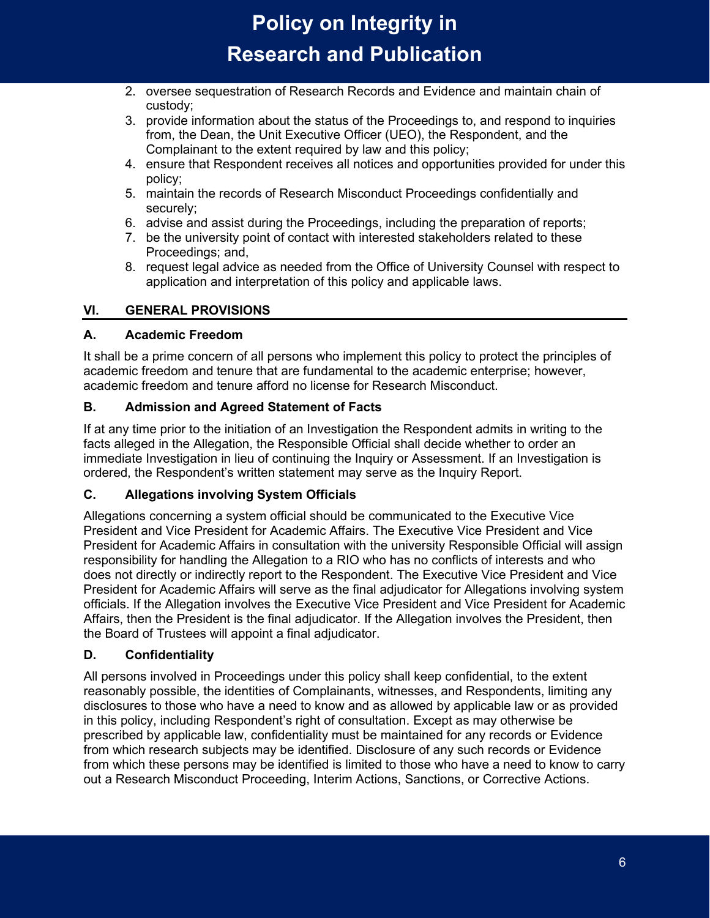- 2. oversee sequestration of Research Records and Evidence and maintain chain of custody;
- 3. provide information about the status of the Proceedings to, and respond to inquiries from, the Dean, the Unit Executive Officer (UEO), the Respondent, and the Complainant to the extent required by law and this policy;
- 4. ensure that Respondent receives all notices and opportunities provided for under this policy;
- 5. maintain the records of Research Misconduct Proceedings confidentially and securely;
- 6. advise and assist during the Proceedings, including the preparation of reports;
- 7. be the university point of contact with interested stakeholders related to these Proceedings; and,
- 8. request legal advice as needed from the Office of University Counsel with respect to application and interpretation of this policy and applicable laws.

## <span id="page-5-0"></span>**VI. GENERAL PROVISIONS**

## <span id="page-5-1"></span>**A. Academic Freedom**

It shall be a prime concern of all persons who implement this policy to protect the principles of academic freedom and tenure that are fundamental to the academic enterprise; however, academic freedom and tenure afford no license for Research Misconduct.

## <span id="page-5-2"></span>**B. Admission and Agreed Statement of Facts**

If at any time prior to the initiation of an Investigation the Respondent admits in writing to the facts alleged in the Allegation, the Responsible Official shall decide whether to order an immediate Investigation in lieu of continuing the Inquiry or Assessment. If an Investigation is ordered, the Respondent's written statement may serve as the Inquiry Report.

### <span id="page-5-3"></span>**C. Allegations involving System Officials**

Allegations concerning a system official should be communicated to the Executive Vice President and Vice President for Academic Affairs. The Executive Vice President and Vice President for Academic Affairs in consultation with the university Responsible Official will assign responsibility for handling the Allegation to a RIO who has no conflicts of interests and who does not directly or indirectly report to the Respondent. The Executive Vice President and Vice President for Academic Affairs will serve as the final adjudicator for Allegations involving system officials. If the Allegation involves the Executive Vice President and Vice President for Academic Affairs, then the President is the final adjudicator. If the Allegation involves the President, then the Board of Trustees will appoint a final adjudicator.

## <span id="page-5-4"></span>**D. Confidentiality**

All persons involved in Proceedings under this policy shall keep confidential, to the extent reasonably possible, the identities of Complainants, witnesses, and Respondents, limiting any disclosures to those who have a need to know and as allowed by applicable law or as provided in this policy, including Respondent's right of consultation. Except as may otherwise be prescribed by applicable law, confidentiality must be maintained for any records or Evidence from which research subjects may be identified. Disclosure of any such records or Evidence from which these persons may be identified is limited to those who have a need to know to carry out a Research Misconduct Proceeding, Interim Actions, Sanctions, or Corrective Actions.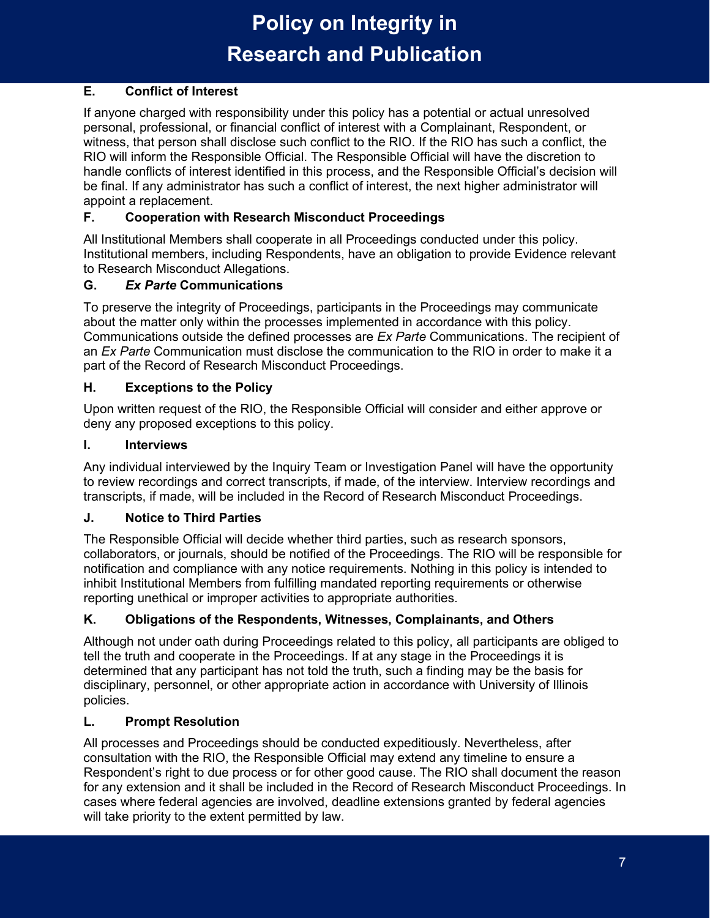## <span id="page-6-0"></span>**E. Conflict of Interest**

If anyone charged with responsibility under this policy has a potential or actual unresolved personal, professional, or financial conflict of interest with a Complainant, Respondent, or witness, that person shall disclose such conflict to the RIO. If the RIO has such a conflict, the RIO will inform the Responsible Official. The Responsible Official will have the discretion to handle conflicts of interest identified in this process, and the Responsible Official's decision will be final. If any administrator has such a conflict of interest, the next higher administrator will appoint a replacement.

## <span id="page-6-1"></span>**F. Cooperation with Research Misconduct Proceedings**

All Institutional Members shall cooperate in all Proceedings conducted under this policy. Institutional members, including Respondents, have an obligation to provide Evidence relevant to Research Misconduct Allegations.

### <span id="page-6-2"></span>**G.** *Ex Parte* **Communications**

To preserve the integrity of Proceedings, participants in the Proceedings may communicate about the matter only within the processes implemented in accordance with this policy. Communications outside the defined processes are *Ex Parte* Communications. The recipient of an *Ex Parte* Communication must disclose the communication to the RIO in order to make it a part of the Record of Research Misconduct Proceedings.

## <span id="page-6-3"></span>**H. Exceptions to the Policy**

Upon written request of the RIO, the Responsible Official will consider and either approve or deny any proposed exceptions to this policy.

### <span id="page-6-4"></span>**I. Interviews**

Any individual interviewed by the Inquiry Team or Investigation Panel will have the opportunity to review recordings and correct transcripts, if made, of the interview. Interview recordings and transcripts, if made, will be included in the Record of Research Misconduct Proceedings.

### <span id="page-6-5"></span>**J. Notice to Third Parties**

The Responsible Official will decide whether third parties, such as research sponsors, collaborators, or journals, should be notified of the Proceedings. The RIO will be responsible for notification and compliance with any notice requirements. Nothing in this policy is intended to inhibit Institutional Members from fulfilling mandated reporting requirements or otherwise reporting unethical or improper activities to appropriate authorities.

## <span id="page-6-6"></span>**K. Obligations of the Respondents, Witnesses, Complainants, and Others**

Although not under oath during Proceedings related to this policy, all participants are obliged to tell the truth and cooperate in the Proceedings. If at any stage in the Proceedings it is determined that any participant has not told the truth, such a finding may be the basis for disciplinary, personnel, or other appropriate action in accordance with University of Illinois policies.

### <span id="page-6-7"></span>**L. Prompt Resolution**

All processes and Proceedings should be conducted expeditiously. Nevertheless, after consultation with the RIO, the Responsible Official may extend any timeline to ensure a Respondent's right to due process or for other good cause. The RIO shall document the reason for any extension and it shall be included in the Record of Research Misconduct Proceedings. In cases where federal agencies are involved, deadline extensions granted by federal agencies will take priority to the extent permitted by law.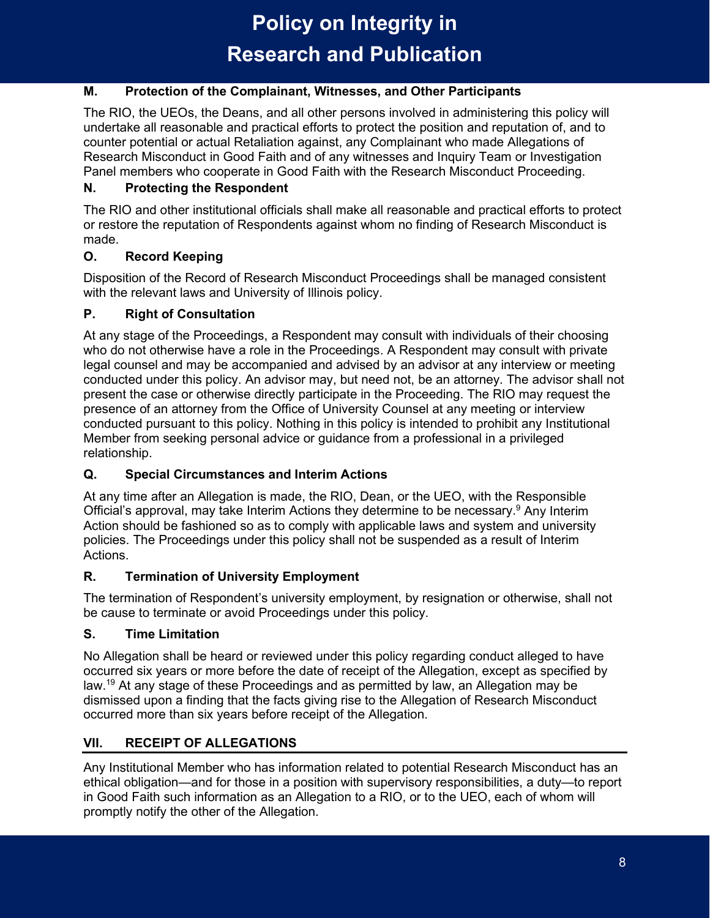## <span id="page-7-0"></span>**M. Protection of the Complainant, Witnesses, and Other Participants**

The RIO, the UEOs, the Deans, and all other persons involved in administering this policy will undertake all reasonable and practical efforts to protect the position and reputation of, and to counter potential or actual Retaliation against, any Complainant who made Allegations of Research Misconduct in Good Faith and of any witnesses and Inquiry Team or Investigation Panel members who cooperate in Good Faith with the Research Misconduct Proceeding.

## <span id="page-7-1"></span>**N. Protecting the Respondent**

The RIO and other institutional officials shall make all reasonable and practical efforts to protect or restore the reputation of Respondents against whom no finding of Research Misconduct is made.

## <span id="page-7-2"></span>**O. Record Keeping**

Disposition of the Record of Research Misconduct Proceedings shall be managed consistent with the relevant laws and University of Illinois policy.

## <span id="page-7-3"></span>**P. Right of Consultation**

At any stage of the Proceedings, a Respondent may consult with individuals of their choosing who do not otherwise have a role in the Proceedings. A Respondent may consult with private legal counsel and may be accompanied and advised by an advisor at any interview or meeting conducted under this policy. An advisor may, but need not, be an attorney. The advisor shall not present the case or otherwise directly participate in the Proceeding. The RIO may request the presence of an attorney from the Office of University Counsel at any meeting or interview conducted pursuant to this policy. Nothing in this policy is intended to prohibit any Institutional Member from seeking personal advice or guidance from a professional in a privileged relationship.

## <span id="page-7-4"></span>**Q. Special Circumstances and Interim Actions**

At any time after an Allegation is made, the RIO, Dean, or the UEO, with the Responsible Official's approval, may take Interim Actions they determine to be necessary. <sup>9</sup> Any Interim Action should be fashioned so as to comply with applicable laws and system and university policies. The Proceedings under this policy shall not be suspended as a result of Interim Actions.

### <span id="page-7-5"></span>**R. Termination of University Employment**

The termination of Respondent's university employment, by resignation or otherwise, shall not be cause to terminate or avoid Proceedings under this policy.

## <span id="page-7-6"></span>**S. Time Limitation**

No Allegation shall be heard or reviewed under this policy regarding conduct alleged to have occurred six years or more before the date of receipt of the Allegation, except as specified by law.19 At any stage of these Proceedings and as permitted by law, an Allegation may be dismissed upon a finding that the facts giving rise to the Allegation of Research Misconduct occurred more than six years before receipt of the Allegation.

## <span id="page-7-7"></span>**VII. RECEIPT OF ALLEGATIONS**

Any Institutional Member who has information related to potential Research Misconduct has an ethical obligation—and for those in a position with supervisory responsibilities, a duty—to report in Good Faith such information as an Allegation to a RIO, or to the UEO, each of whom will promptly notify the other of the Allegation.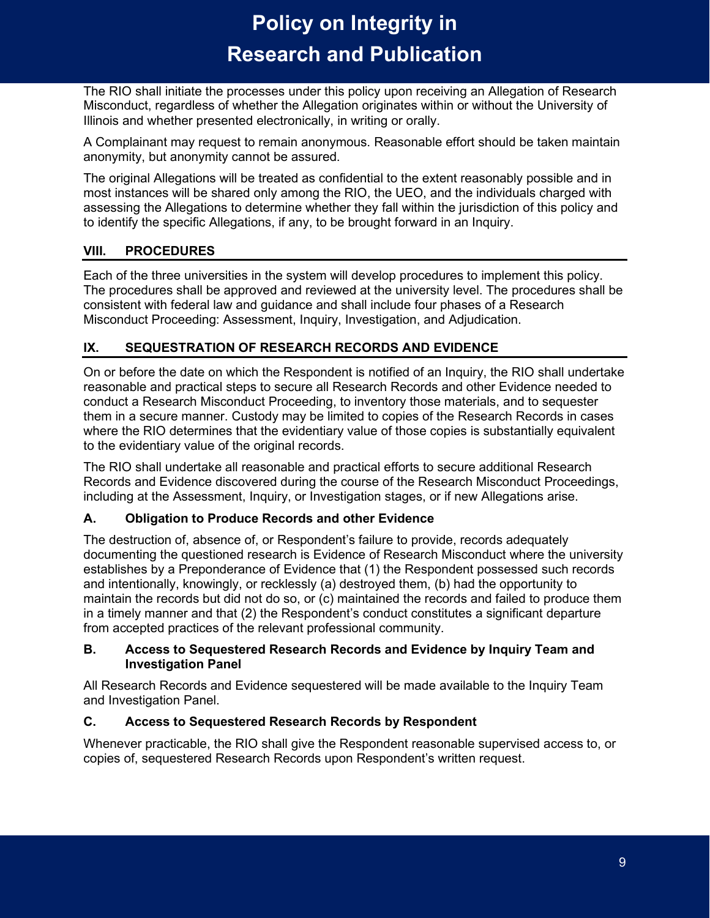The RIO shall initiate the processes under this policy upon receiving an Allegation of Research Misconduct, regardless of whether the Allegation originates within or without the University of Illinois and whether presented electronically, in writing or orally.

A Complainant may request to remain anonymous. Reasonable effort should be taken maintain anonymity, but anonymity cannot be assured.

The original Allegations will be treated as confidential to the extent reasonably possible and in most instances will be shared only among the RIO, the UEO, and the individuals charged with assessing the Allegations to determine whether they fall within the jurisdiction of this policy and to identify the specific Allegations, if any, to be brought forward in an Inquiry.

## <span id="page-8-0"></span>**VIII. PROCEDURES**

Each of the three universities in the system will develop procedures to implement this policy. The procedures shall be approved and reviewed at the university level. The procedures shall be consistent with federal law and guidance and shall include four phases of a Research Misconduct Proceeding: Assessment, Inquiry, Investigation, and Adjudication.

## <span id="page-8-1"></span>**IX. SEQUESTRATION OF RESEARCH RECORDS AND EVIDENCE**

On or before the date on which the Respondent is notified of an Inquiry, the RIO shall undertake reasonable and practical steps to secure all Research Records and other Evidence needed to conduct a Research Misconduct Proceeding, to inventory those materials, and to sequester them in a secure manner. Custody may be limited to copies of the Research Records in cases where the RIO determines that the evidentiary value of those copies is substantially equivalent to the evidentiary value of the original records.

The RIO shall undertake all reasonable and practical efforts to secure additional Research Records and Evidence discovered during the course of the Research Misconduct Proceedings, including at the Assessment, Inquiry, or Investigation stages, or if new Allegations arise.

### <span id="page-8-2"></span>**A. Obligation to Produce Records and other Evidence**

The destruction of, absence of, or Respondent's failure to provide, records adequately documenting the questioned research is Evidence of Research Misconduct where the university establishes by a Preponderance of Evidence that (1) the Respondent possessed such records and intentionally, knowingly, or recklessly (a) destroyed them, (b) had the opportunity to maintain the records but did not do so, or (c) maintained the records and failed to produce them in a timely manner and that (2) the Respondent's conduct constitutes a significant departure from accepted practices of the relevant professional community.

#### <span id="page-8-3"></span>**B. Access to Sequestered Research Records and Evidence by Inquiry Team and Investigation Panel**

All Research Records and Evidence sequestered will be made available to the Inquiry Team and Investigation Panel.

### <span id="page-8-4"></span>**C. Access to Sequestered Research Records by Respondent**

Whenever practicable, the RIO shall give the Respondent reasonable supervised access to, or copies of, sequestered Research Records upon Respondent's written request.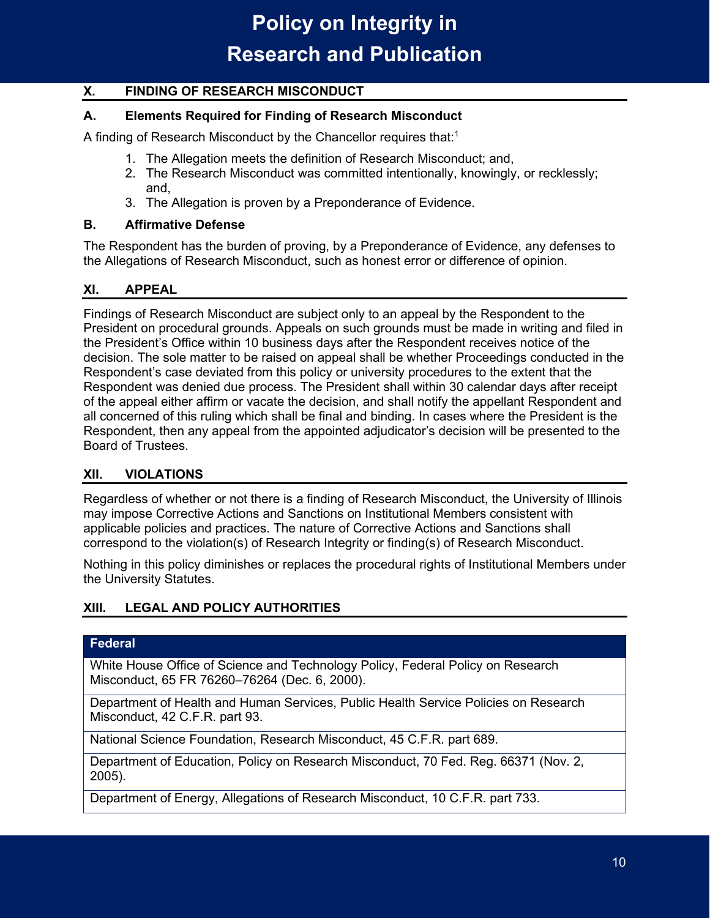### <span id="page-9-0"></span>**X. FINDING OF RESEARCH MISCONDUCT**

### <span id="page-9-1"></span>**A. Elements Required for Finding of Research Misconduct**

A finding of Research Misconduct by the Chancellor requires that: $^{\rm 1}$ 

- 1. The Allegation meets the definition of Research Misconduct; and,
- 2. The Research Misconduct was committed intentionally, knowingly, or recklessly; and,
- 3. The Allegation is proven by a Preponderance of Evidence.

#### <span id="page-9-2"></span>**B. Affirmative Defense**

The Respondent has the burden of proving, by a Preponderance of Evidence, any defenses to the Allegations of Research Misconduct, such as honest error or difference of opinion.

### <span id="page-9-3"></span>**XI. APPEAL**

Findings of Research Misconduct are subject only to an appeal by the Respondent to the President on procedural grounds. Appeals on such grounds must be made in writing and filed in the President's Office within 10 business days after the Respondent receives notice of the decision. The sole matter to be raised on appeal shall be whether Proceedings conducted in the Respondent's case deviated from this policy or university procedures to the extent that the Respondent was denied due process. The President shall within 30 calendar days after receipt of the appeal either affirm or vacate the decision, and shall notify the appellant Respondent and all concerned of this ruling which shall be final and binding. In cases where the President is the Respondent, then any appeal from the appointed adjudicator's decision will be presented to the Board of Trustees.

### <span id="page-9-4"></span>**XII. VIOLATIONS**

Regardless of whether or not there is a finding of Research Misconduct, the University of Illinois may impose Corrective Actions and Sanctions on Institutional Members consistent with applicable policies and practices. The nature of Corrective Actions and Sanctions shall correspond to the violation(s) of Research Integrity or finding(s) of Research Misconduct.

Nothing in this policy diminishes or replaces the procedural rights of Institutional Members under the University Statutes.

### <span id="page-9-5"></span>**XIII. LEGAL AND POLICY AUTHORITIES**

#### **Federal**

White House Office of Science and Technology Policy, Federal Policy on Research Misconduct, 65 FR 76260–76264 (Dec. 6, 2000).

Department of Health and Human Services, Public Health Service Policies on Research Misconduct, 42 C.F.R. part 93.

National Science Foundation, Research Misconduct, 45 C.F.R. part 689.

Department of Education, Policy on Research Misconduct, 70 Fed. Reg. 66371 (Nov. 2, 2005).

Department of Energy, Allegations of Research Misconduct, 10 C.F.R. part 733.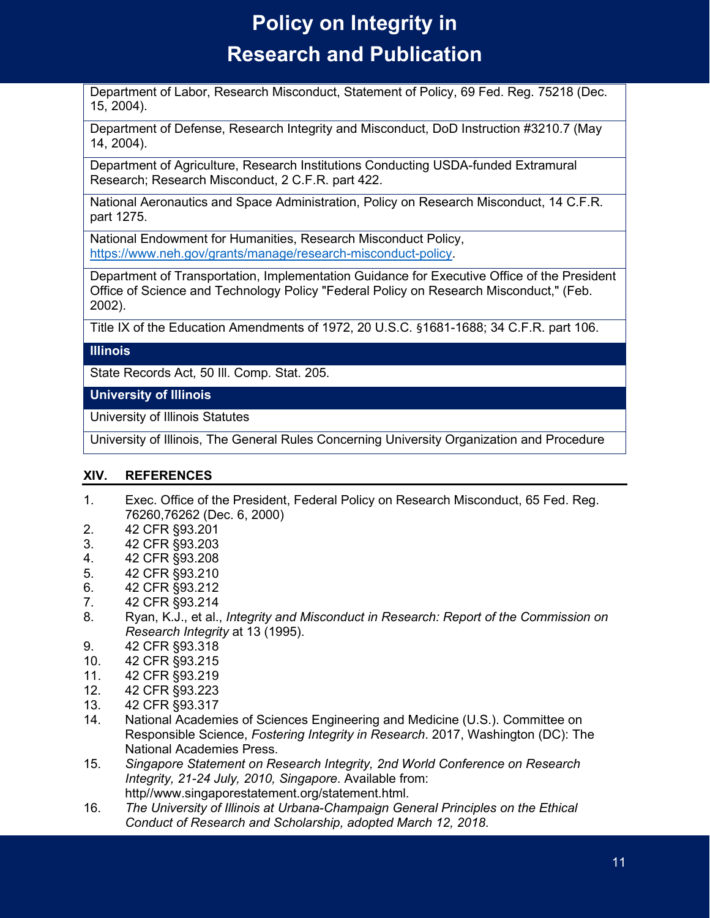Department of Labor, Research Misconduct, Statement of Policy, 69 Fed. Reg. 75218 (Dec. 15, 2004).

Department of Defense, Research Integrity and Misconduct, DoD Instruction #3210.7 (May 14, 2004).

Department of Agriculture, Research Institutions Conducting USDA-funded Extramural Research; Research Misconduct, 2 C.F.R. part 422.

National Aeronautics and Space Administration, Policy on Research Misconduct, 14 C.F.R. part 1275.

National Endowment for Humanities, Research Misconduct Policy, [https://www.neh.gov/grants/manage/research-misconduct-policy.](https://www.neh.gov/grants/manage/research-misconduct-policy)

Department of Transportation, Implementation Guidance for Executive Office of the President Office of Science and Technology Policy "Federal Policy on Research Misconduct," (Feb. 2002).

Title IX of the Education Amendments of 1972, 20 U.S.C. §1681-1688; 34 C.F.R. part 106.

#### **Illinois**

State Records Act, 50 Ill. Comp. Stat. 205.

**University of Illinois** 

University of Illinois Statutes

University of Illinois, The General Rules Concerning University Organization and Procedure

#### <span id="page-10-0"></span>**XIV. REFERENCES**

- 1. Exec. Office of the President, Federal Policy on Research Misconduct, 65 Fed. Reg. 76260,76262 (Dec. 6, 2000)
- 2. 42 CFR §93.201
- 3. 42 CFR §93.203
- 4. 42 CFR §93.208
- 5. 42 CFR §93.210
- 6. 42 CFR §93.212
- 7. 42 CFR §93.214
- 8. Ryan, K.J., et al., *Integrity and Misconduct in Research: Report of the Commission on Research Integrity* at 13 (1995).
- 9. 42 CFR §93.318
- 10. 42 CFR §93.215
- 11. 42 CFR §93.219<br>12. 42 CFR §93.223
- 12. 42 CFR §93.223
- 13. 42 CFR §93.317
- 14. National Academies of Sciences Engineering and Medicine (U.S.). Committee on Responsible Science, *Fostering Integrity in Research*. 2017, Washington (DC): The National Academies Press.
- 15. *Singapore Statement on Research Integrity, 2nd World Conference on Research Integrity, 21-24 July, 2010, Singapore*. Available from: http//www.singaporestatement.org/statement.html.
- 16. *The University of Illinois at Urbana-Champaign General Principles on the Ethical Conduct of Research and Scholarship, adopted March 12, 2018*.